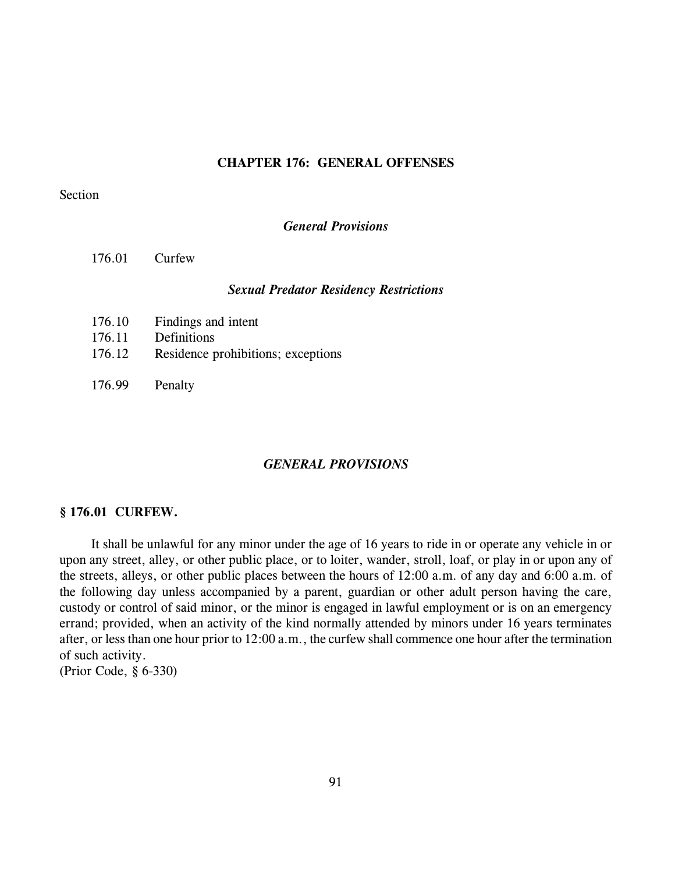# **CHAPTER 176: GENERAL OFFENSES**

## Section

*General Provisions*

176.01 Curfew

#### *Sexual Predator Residency Restrictions*

- 176.10 Findings and intent 176.11 Definitions 176.12 Residence prohibitions; exceptions
- 176.99 Penalty

#### *GENERAL PROVISIONS*

#### **§ 176.01 CURFEW.**

It shall be unlawful for any minor under the age of 16 years to ride in or operate any vehicle in or upon any street, alley, or other public place, or to loiter, wander, stroll, loaf, or play in or upon any of the streets, alleys, or other public places between the hours of 12:00 a.m. of any day and 6:00 a.m. of the following day unless accompanied by a parent, guardian or other adult person having the care, custody or control of said minor, or the minor is engaged in lawful employment or is on an emergency errand; provided, when an activity of the kind normally attended by minors under 16 years terminates after, or less than one hour prior to 12:00 a.m., the curfew shall commence one hour after the termination of such activity.

(Prior Code, § 6-330)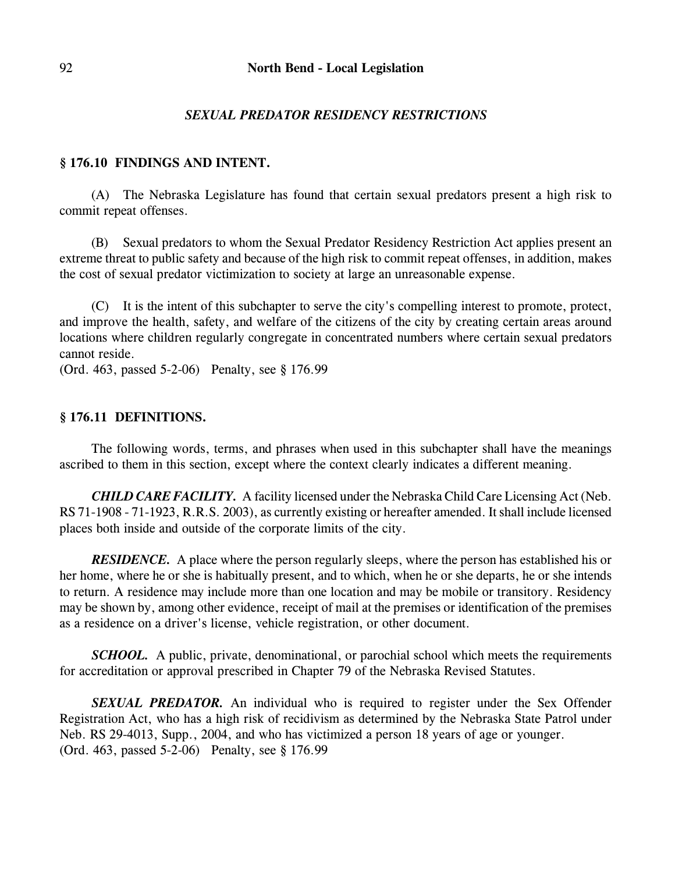# *SEXUAL PREDATOR RESIDENCY RESTRICTIONS*

# **§ 176.10 FINDINGS AND INTENT.**

(A) The Nebraska Legislature has found that certain sexual predators present a high risk to commit repeat offenses.

(B) Sexual predators to whom the Sexual Predator Residency Restriction Act applies present an extreme threat to public safety and because of the high risk to commit repeat offenses, in addition, makes the cost of sexual predator victimization to society at large an unreasonable expense.

(C) It is the intent of this subchapter to serve the city's compelling interest to promote, protect, and improve the health, safety, and welfare of the citizens of the city by creating certain areas around locations where children regularly congregate in concentrated numbers where certain sexual predators cannot reside.

(Ord. 463, passed 5-2-06) Penalty, see § 176.99

## **§ 176.11 DEFINITIONS.**

The following words, terms, and phrases when used in this subchapter shall have the meanings ascribed to them in this section, except where the context clearly indicates a different meaning.

*CHILD CARE FACILITY.* A facility licensed under the Nebraska Child Care Licensing Act (Neb. RS 71-1908 - 71-1923, R.R.S. 2003), as currently existing or hereafter amended. It shall include licensed places both inside and outside of the corporate limits of the city.

*RESIDENCE.* A place where the person regularly sleeps, where the person has established his or her home, where he or she is habitually present, and to which, when he or she departs, he or she intends to return. A residence may include more than one location and may be mobile or transitory. Residency may be shown by, among other evidence, receipt of mail at the premises or identification of the premises as a residence on a driver's license, vehicle registration, or other document.

*SCHOOL.* A public, private, denominational, or parochial school which meets the requirements for accreditation or approval prescribed in Chapter 79 of the Nebraska Revised Statutes.

*SEXUAL PREDATOR.* An individual who is required to register under the Sex Offender Registration Act, who has a high risk of recidivism as determined by the Nebraska State Patrol under Neb. RS 29-4013, Supp., 2004, and who has victimized a person 18 years of age or younger. (Ord. 463, passed 5-2-06) Penalty, see § 176.99